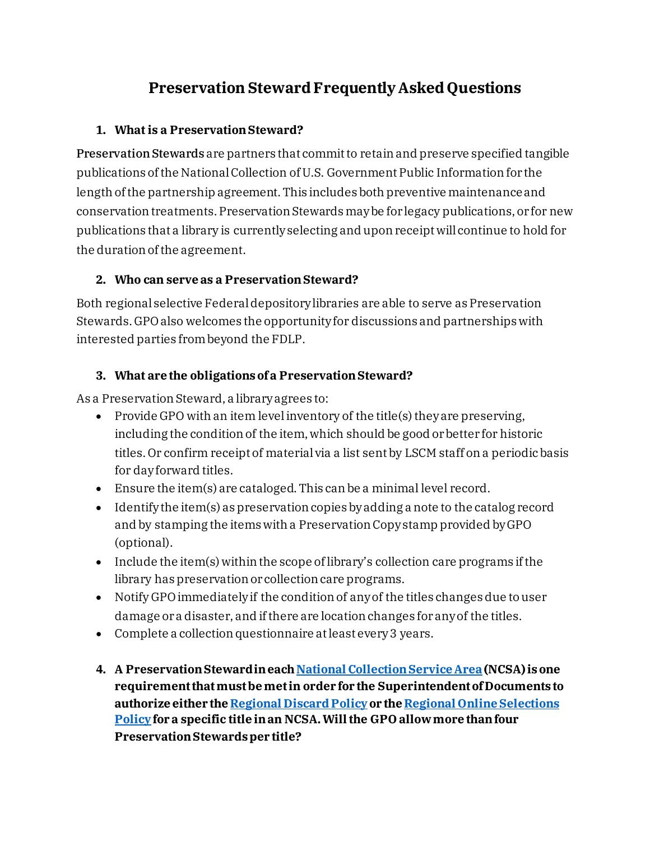# **Preservation Steward Frequently Asked Questions**

#### **1. What is a Preservation Steward?**

Preservation Stewards are partners that commit to retain and preserve specified tangible publications of the National Collection of U.S. Government Public Information for the length of the partnership agreement. This includes both preventive maintenance and conservation treatments. Preservation Stewards may be for legacy publications, or for new publications that a library is currently selecting and upon receipt will continue to hold for the duration of the agreement.

#### **2. Who can serve as a Preservation Steward?**

Both regional selective Federal depository libraries are able to serve as Preservation Stewards. GPO also welcomes the opportunity for discussions and partnerships with interested parties from beyond the FDLP.

#### **3. What are the obligations of a Preservation Steward?**

As a Preservation Steward, a library agrees to:

- Provide GPO with an item level inventory of the title(s) they are preserving, including the condition of the item, which should be good or better for historic titles. Or confirm receipt of material via a list sent by LSCM staff on a periodic basis for day forward titles.
- Ensure the item(s) are cataloged. This can be a minimal level record.
- Identify the item(s) as preservation copies by adding a note to the catalog record and by stamping the items with a Preservation Copy stamp provided by GPO (optional).
- Include the item(s) within the scope of library's collection care programs if the library has preservation or collection care programs.
- Notify GPO immediately if the condition of any of the titles changes due to user damage or a disaster, and if there are location changes for any of the titles.
- Complete a collection questionnaire at least every 3 years.
- **4. A Preservation Steward in eac[hNational Collection Service Area](https://fdlp.gov/about-the-fdlp/national-collection-service-areas)(NCSA) is one requirement that must be met in order for the Superintendent of Documents to authorize either the [Regional Discard Policy](https://www.fdlp.gov/sites/default/files/sod-pps-2020-1%20(1).pdf)or the [Regional Online Selections](https://fdlp.gov/file-download/download/public/15329)  [Policy](https://fdlp.gov/file-download/download/public/15329) for a specific title in an NCSA. Will the GPO allow more than four Preservation Stewards per title?**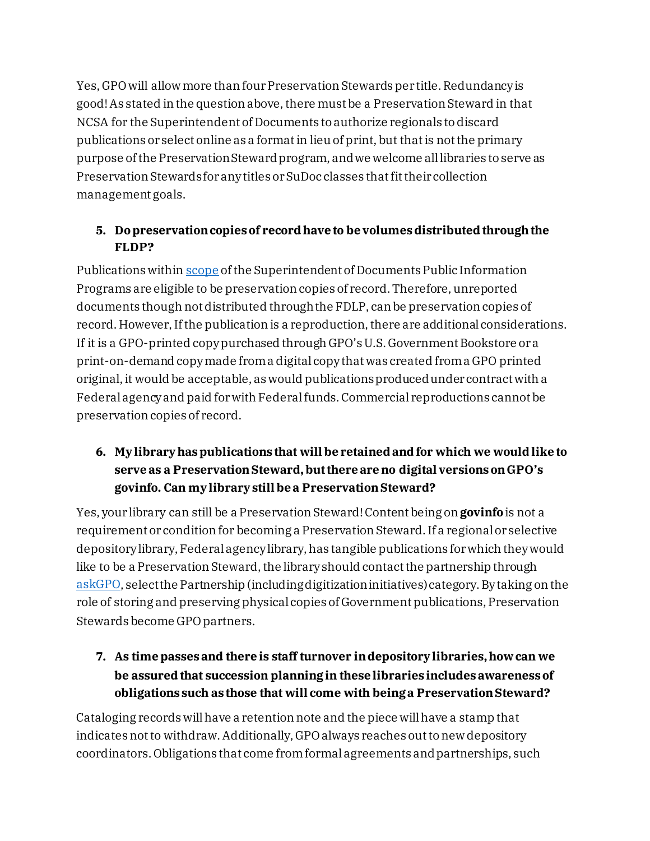Yes, GPO will allow more than four Preservation Stewards per title. Redundancy is good! As stated in the question above, there must be a Preservation Steward in that NCSA for the Superintendent of Documents to authorize regionals todiscard publications or select online as a format in lieu of print, but that is not the primary purpose of the Preservation Steward program, and we welcome all libraries to serve as Preservation Stewards for any titles or SuDoc classes thatfit their collection management goals.

### **5. Do preservation copies of record have to be volumes distributed through the FLDP?**

Publications within [scope](https://www.fdlp.gov/file-download/download/public/15592) of the Superintendent of Documents Public Information Programs are eligible to be preservation copies of record. Therefore, unreported documents though not distributed through the FDLP, canbe preservation copies of record. However, If the publication is a reproduction, there are additional considerations. If it is a GPO-printed copy purchased through GPO's U.S. Government Bookstore or a print-on-demand copy made from a digital copy that was created from a GPO printed original, it would be acceptable, as would publications produced under contractwith a Federal agency and paid for with Federal funds. Commercial reproductions cannot be preservation copies of record.

### **6. My library has publications that will be retained and for which we would like to serve as a Preservation Steward, but there are no digital versions on GPO's govinfo. Can my library still be a Preservation Steward?**

Yes, your library can still be a Preservation Steward! Content being on **govinfo** is not a requirement or condition for becoming a Preservation Steward.If a regional or selective depository library, Federalagency library, has tangible publications for which they would like to be a Preservation Steward, the library should contact the partnership through [askGPO,](https://ask.gpo.gov/s/) select the Partnership (including digitization initiatives) category. By taking on the role of storing and preserving physical copies of Government publications, Preservation Stewards become GPO partners.

# **7. As time passes and there is staff turnover in depository libraries, how can we be assured that succession planning in these libraries includes awareness of obligations such as those that will come with being a Preservation Steward?**

Cataloging records will have a retention note and the piece will have a stamp that indicates not to withdraw. Additionally, GPO always reaches out to new depository coordinators. Obligations that come from formal agreements and partnerships, such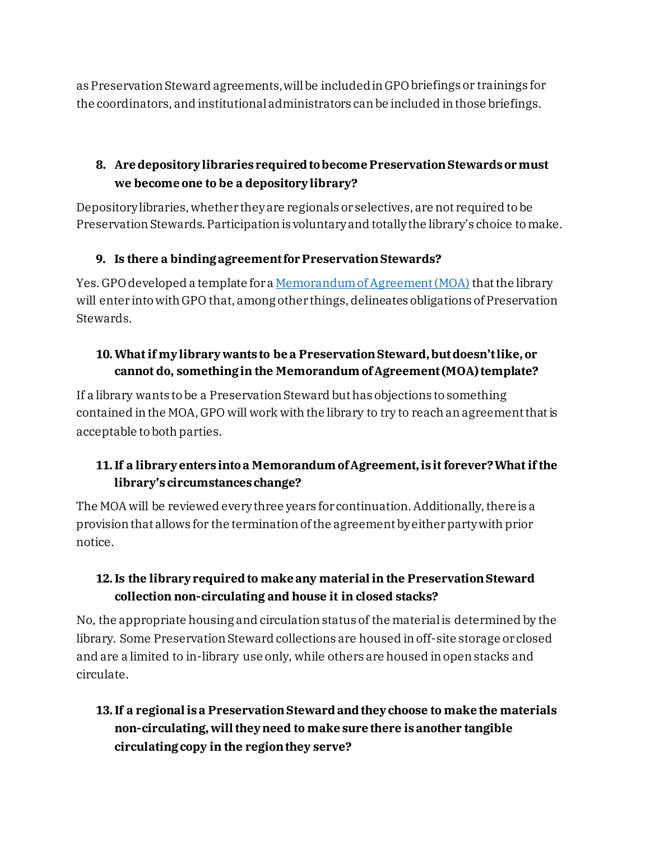as Preservation Steward agreements,will be included in GPO briefings or trainings for the coordinators, and institutional administrators canbe included in those briefings.

# **8. Are depository libraries required to become Preservation Stewards or must we become one to be a depository library?**

Depositorylibraries, whether they are regionals or selectives, are not required to be Preservation Stewards. Participation is voluntaryand totally the library's choice to make.

### **9. Is there a binding agreement for Preservation Stewards?**

Yes. GPO developed a template for [a Memorandum of Agreement \(MOA\)](https://www.fdlp.gov/sites/default/files/preservation-steward-moa-template-rev-01112018.pdf) that the library will enter into with GPO that, among other things, delineates obligations of Preservation Stewards.

### **10.What if my library wants to be a Preservation Steward, but doesn't like, or cannot do, something in the Memorandum of Agreement (MOA) template?**

If a library wants to be a Preservation Steward but has objections to something contained in the MOA, GPO will work with the library to try to reach an agreement that is acceptable to both parties.

### **11.If a library enters into a Memorandum of Agreement, is it forever? What if the library's circumstances change?**

The MOA will be reviewed every three years for continuation. Additionally, there is a provision that allows for the termination of the agreement by either party with prior notice.

### **12.Is the library required to make any material in the Preservation Steward collection non-circulating and house it in closed stacks?**

No, the appropriate housing and circulation status of the material is determined by the library. Some Preservation Steward collections are housed in off-site storage or closed and are a limited to in-library use only, while others are housed in open stacks and circulate.

# **13.If a regional is a Preservation Steward and they choose to make the materials non-circulating, will they need to make sure there is another tangible circulating copy in the region they serve?**